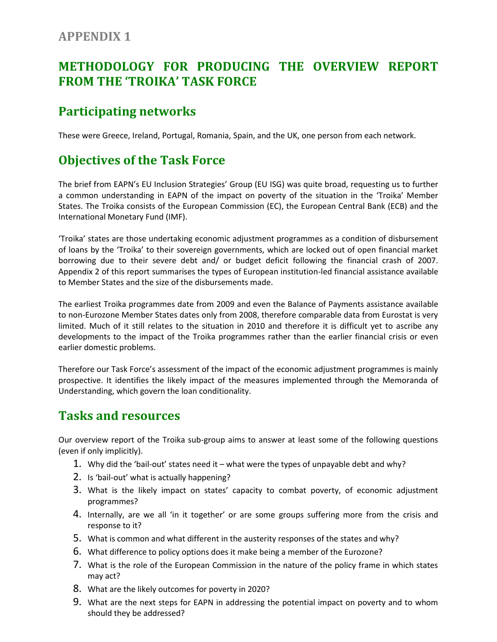#### **APPENDIX 1**

## **METHODOLOGY FOR PRODUCING THE OVERVIEW REPORT FROM THE 'TROIKA' TASK FORCE**

#### **Participating networks**

These were Greece, Ireland, Portugal, Romania, Spain, and the UK, one person from each network.

# **Objectives of the Task Force**

The brief from EAPN's EU Inclusion Strategies' Group (EU ISG) was quite broad, requesting us to further a common understanding in EAPN of the impact on poverty of the situation in the 'Troika' Member States. The Troika consists of the European Commission (EC), the European Central Bank (ECB) and the International Monetary Fund (IMF).

'Troika' states are those undertaking economic adjustment programmes as a condition of disbursement of loans by the 'Troika' to their sovereign governments, which are locked out of open financial market borrowing due to their severe debt and/ or budget deficit following the financial crash of 2007. Appendix 2 of this report summarises the types of European institution-led financial assistance available to Member States and the size of the disbursements made.

The earliest Troika programmes date from 2009 and even the Balance of Payments assistance available to non-Eurozone Member States dates only from 2008, therefore comparable data from Eurostat is very limited. Much of it still relates to the situation in 2010 and therefore it is difficult yet to ascribe any developments to the impact of the Troika programmes rather than the earlier financial crisis or even earlier domestic problems.

Therefore our Task Force's assessment of the impact of the economic adjustment programmes is mainly prospective. It identifies the likely impact of the measures implemented through the Memoranda of Understanding, which govern the loan conditionality.

### **Tasks and resources**

Our overview report of the Troika sub-group aims to answer at least some of the following questions (even if only implicitly).

- 1. Why did the 'bail-out' states need it what were the types of unpayable debt and why?
- 2. Is 'bail-out' what is actually happening?
- 3. What is the likely impact on states' capacity to combat poverty, of economic adjustment programmes?
- 4. Internally, are we all 'in it together' or are some groups suffering more from the crisis and response to it?
- 5. What is common and what different in the austerity responses of the states and why?
- 6. What difference to policy options does it make being a member of the Eurozone?
- 7. What is the role of the European Commission in the nature of the policy frame in which states may act?
- 8. What are the likely outcomes for poverty in 2020?
- 9. What are the next steps for EAPN in addressing the potential impact on poverty and to whom should they be addressed?